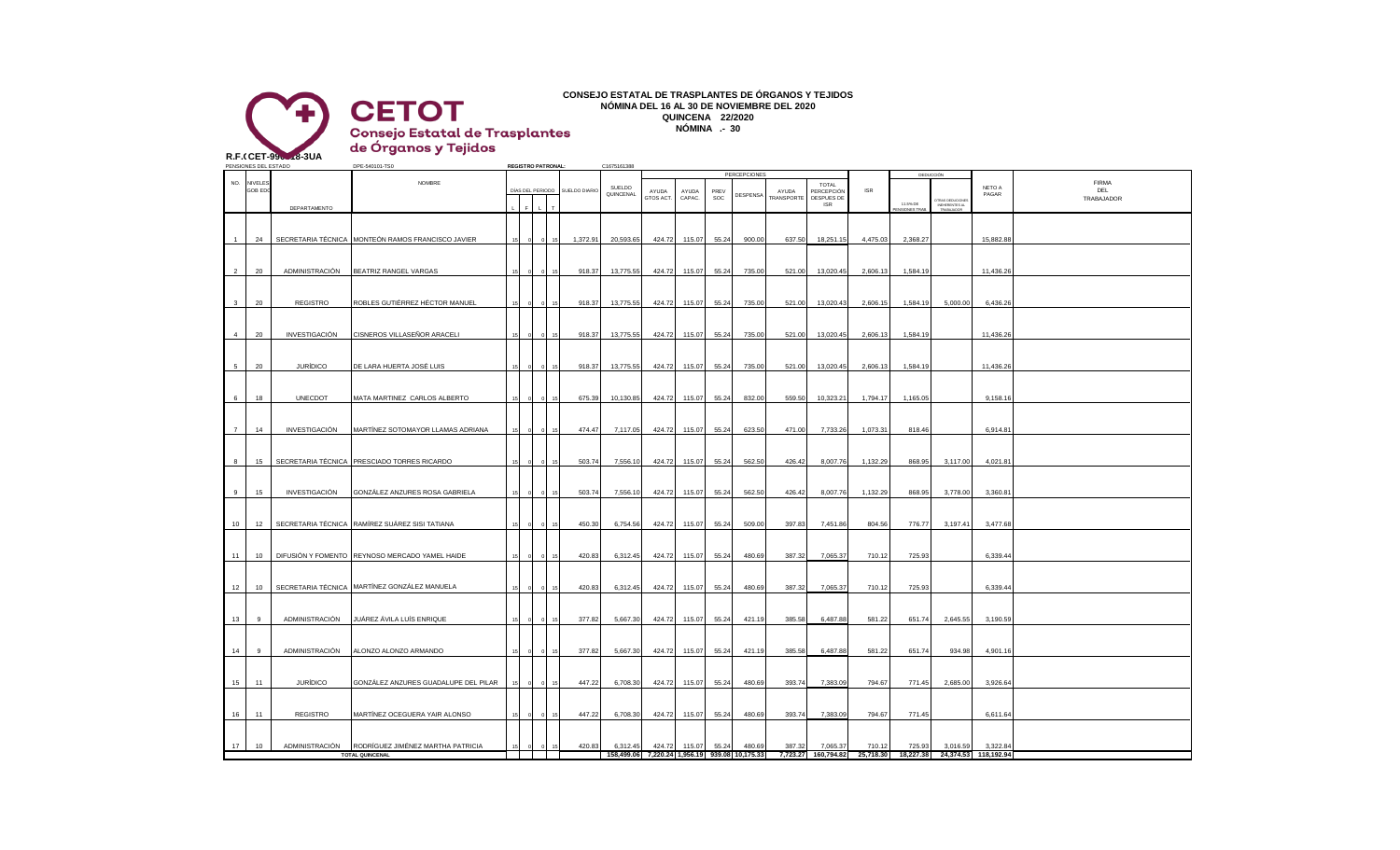

## **CONSEJO ESTATAL DE TRASPLANTES DE ÓRGANOS Y TEJIDOS NÓMINA DEL 16 AL 30 DE NOVIEMBRE DEL 2020 QUINCENA 22/2020 NÓMINA .- 30**

de Órganos y Tejidos **R.F.CCET-9906-18-3UA** PENSIONES DEL ESTADO DPE-540101-TS0 **REGISTRO PATRONAL:** C1675161388 PERCEPCIONES DEDUCCIÓN NO. NIVELES NO. NEWSPONDER NOMBRE THE RESERVE HE RESERVED AS A SERVED ON THE RESERVED ON THE RESERVED ON THE RESERVED ON THE RESERVED ON THE RESERVED ON THE RESERVED ON THE RESERVED ON THE RESERVED ON THE RESERVED ON THE R TOTAL PERCEPCIÓN ISR **ÍAS DEL PERIODO SUELDO DIA** SUELDO QUINCENAL AYUDA PREV AYUDA NETO A PAGAR GOB EDC CORRECTED ON A DIAS DEL PERIODO SUELDO DIARIO NUNCENNI AYUDA AYUDA PREVIDENCIAL ATUDA PRECEPCIÓN ISR I INCHARGO ANGLO DEL PRECEPCIÓN ISR I INCHARGO ANGLO DEL PRECEPCIÓN ISR I INCHARGO ANGLO DEL PRECEPCIÓN ISR I INC AYUDA CAPAC. **DESPENS** SOC DESPUES DE TRABAJADOR TOS ACT. RANSPORT ISR 11.5% DE OTRAS DEDUCIONES DEPARTAMENTO INEHERENTES AL L F L T PENSIONES TRAB. TRABAJADOR 1 24 SECRETARIA TÉCNICA MONTEÓN RAMOS FRANCISCO JAVIER 15 0 0 15 1,372.91 20,593.65 424.72 115.07 55.24 900.00 637.50 18,251.15 4,475.03 2,368.27 15,882.88 20 ADMINISTRACIÓN BEATRIZ RANGEL VARGAS 15 0 15 918.37 13,775.55 424.72 115.07 55.24 735.00 521.00 13,020.45 2,606.13 1,584.19 11,436.2 3 20 REGISTRO ROBLES GUTIÉRREZ HÉCTOR MANUEL 15 0 0 15 918.37 13,775.55 424.72 115.07 55.24 735.00 13,020 13,020.43 2,606.15 1,584.19 5,000.00 6,436.26 4 20 INVESTIGACIÓN CISNEROS VILLASEÑOR ARACELI 15 0 0 15 918.37 13,775.55 424.72 115.07 55.24 735.00 521.00 13,020.45 2,606.13 1,584.19 11,436.2 5 20 JURIDICO DE LARA HUERTA JOSE LUIS | 15 0 0 15 918.37 13,775.55 424.72 115.07 55.24 735.00 521.00 13,020.45 2,606.13 1,584.19 | 11,436.26 18 UNECDOT MATA MARTINEZ CARLOS ALBERTO 15 0 0 15 675.39 10,130.85 424.72 115.07 55.24 832.00 559.50 10,323.21 1,794.17 1,165.05 9,158.16 7 14 INVESTIGACIÓN MARTÍNEZ SOTOMAYOR LLAMAS ADRIANA 15 0 0 15 474.47 7,117.05 424.72 115.07 55.24 623.50 471.00 7,733.26 1,073.31 818.46 6,914.81 8 15 SECRETARIA TÉCNICA PRESCIADO TORRES RICARDO 15 0 0 15 503.74 7,556.10 424.72 115.07 552.4 562.50 426.42 8,007.76 1,132.29 868.95 3,117.00 4,021.81 9 15 INVESTIGACIÓN GONZÁLEZ ANZURES ROSA GABRIELA 15 0 0 15 503.74 7,556.10 424.72 115.07 55.24 562.50 426.42 8,007.76 1,132.29 868.95 3,778.00 3,360.81 10 12 SECRETARIA TÉCNICA RAMÍREZ SUÁREZ SISI TATIANA 15 0 0 15 450.30 6,754.56 424.72 115.07 55.24 509.00 397.83 7,451.86 804.56 776.77 3,197.41 3,477.68 11 | 10 | DIFUSIÓN Y FOMENTO REYNOSO MERCADO YAMEL HAIDE | 15 0 0 15 420.83 6,312.45 424.72 115.07 | 55.24 480.69 387.32 7,065.37 710.12 725.93 | 6,339.44 12 | 10 | SECRETARIA TÉCNICA | MARTÍNEZ GONZÁLEZ MANUELA | 15 | 0 | 15 | 420.83 6,312.45 | 424.72 | 115.07 | 55.24 | 480.69 | 387.32 | 7,065.37 | 710.12 | 725.93 | 6,339.44 13 9 ADMINISTRACIÓN JUÁREZ ÁVILA LUÍS ENRIQUE 15 0 0 15 377.82 5,667.30 424.72 115.07 55.24 421.19 385.58 6,487.88 581.22 651.74 2,645.55 3,190.59

14 9 ADMINISTRACIÓN ALONZO ALONZO ARMANDO 15 0 0 15 377.82 5,667.30 424.72 115.07 55.24 421.19 385.58 6,487.88 581.22 651.74 934.98 4,901.16

15 11 JURÍDICO GONZÁLEZ ANZURES GUADALUPE DEL PILAR 15 0 0 15 447.22 6,708.30 424.72 115.07 55.24 480.69 393.74 7,383.09 794.67 771.45 2,685.00 3,926.64

16 11 REGISTRO MARTÍNEZ OCEGUERA YAIR ALONSO 15 0 0 15 447.22 6,708.30 424.72 115.07 55.24 480.69 393.74 7,383.09 794.67 771.45 6,611.64

17 10 ADMINISTRACIÓN RODRÍGUEZ JIMÉNEZ MARTHA PATRICIA 15 0 0 15 420.83 6,312.45 424.72 115.07 55.24 480.69 387.32 7,065.37 710.12 725.93 3,016.59 3,322.84

**TOTAL QUINCENAL 158,499.06 7,220.24 1,956.19 939.08 10,175.33 7,723.27 160,794.82 25,718.30 18,227.38 24,374.53 118,192.94**